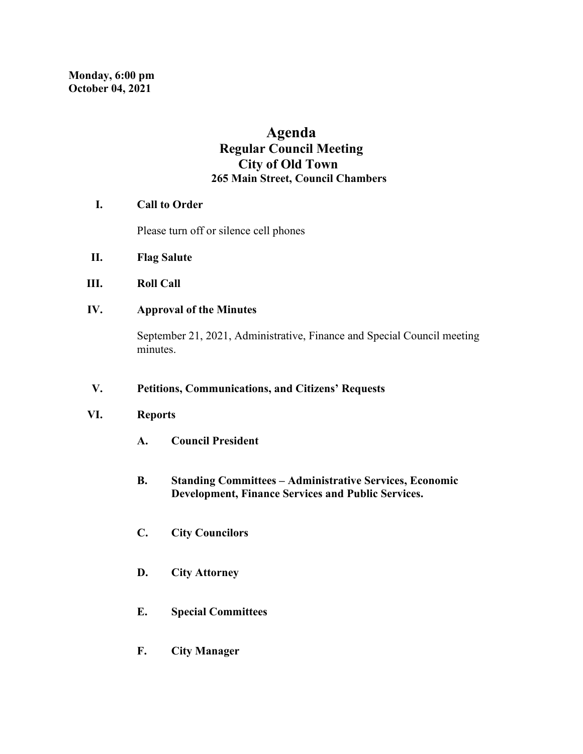# **Agenda Regular Council Meeting City of Old Town 265 Main Street, Council Chambers**

#### **I. Call to Order**

Please turn off or silence cell phones

- **II. Flag Salute**
- **III. Roll Call**
- **IV. Approval of the Minutes**

September 21, 2021, Administrative, Finance and Special Council meeting minutes.

#### **V. Petitions, Communications, and Citizens' Requests**

#### **VI. Reports**

- **A. Council President**
- **B. Standing Committees – Administrative Services, Economic Development, Finance Services and Public Services.**
- **C. City Councilors**
- **D. City Attorney**
- **E. Special Committees**
- **F. City Manager**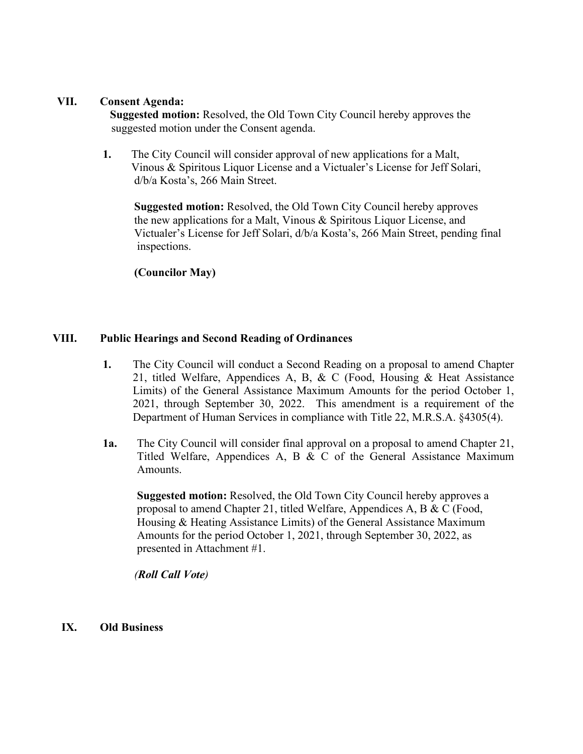#### **VII. Consent Agenda:**

**Suggested motion:** Resolved, the Old Town City Council hereby approves the suggested motion under the Consent agenda.

**1.** The City Council will consider approval of new applications for a Malt, Vinous & Spiritous Liquor License and a Victualer's License for Jeff Solari, d/b/a Kosta's, 266 Main Street.

 **Suggested motion:** Resolved, the Old Town City Council hereby approves the new applications for a Malt, Vinous & Spiritous Liquor License, and Victualer's License for Jeff Solari, d/b/a Kosta's, 266 Main Street, pending final inspections.

**(Councilor May)** 

#### **VIII. Public Hearings and Second Reading of Ordinances**

- **1.** The City Council will conduct a Second Reading on a proposal to amend Chapter 21, titled Welfare, Appendices A, B, & C (Food, Housing & Heat Assistance Limits) of the General Assistance Maximum Amounts for the period October 1, 2021, through September 30, 2022. This amendment is a requirement of the Department of Human Services in compliance with Title 22, M.R.S.A. §4305(4).
- **1a.** The City Council will consider final approval on a proposal to amend Chapter 21, Titled Welfare, Appendices A, B & C of the General Assistance Maximum Amounts.

 **Suggested motion:** Resolved, the Old Town City Council hereby approves a proposal to amend Chapter 21, titled Welfare, Appendices A, B & C (Food, Housing & Heating Assistance Limits) of the General Assistance Maximum Amounts for the period October 1, 2021, through September 30, 2022, as presented in Attachment #1.

*(Roll Call Vote)* 

**IX. Old Business**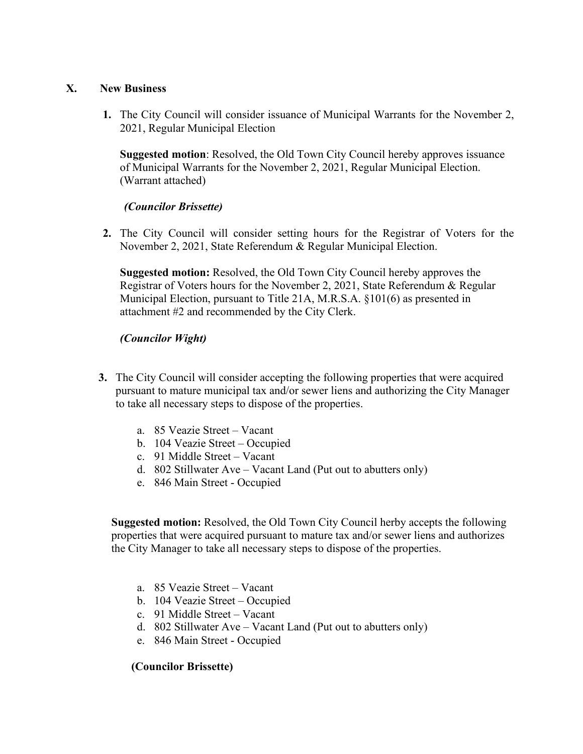#### **X. New Business**

**1.** The City Council will consider issuance of Municipal Warrants for the November 2, 2021, Regular Municipal Election

**Suggested motion**: Resolved, the Old Town City Council hereby approves issuance of Municipal Warrants for the November 2, 2021, Regular Municipal Election. (Warrant attached)

### *(Councilor Brissette)*

**2.** The City Council will consider setting hours for the Registrar of Voters for the November 2, 2021, State Referendum & Regular Municipal Election.

**Suggested motion:** Resolved, the Old Town City Council hereby approves the Registrar of Voters hours for the November 2, 2021, State Referendum & Regular Municipal Election, pursuant to Title 21A, M.R.S.A. §101(6) as presented in attachment #2 and recommended by the City Clerk.

# *(Councilor Wight)*

- **3.** The City Council will consider accepting the following properties that were acquired pursuant to mature municipal tax and/or sewer liens and authorizing the City Manager to take all necessary steps to dispose of the properties.
	- a. 85 Veazie Street Vacant
	- b. 104 Veazie Street Occupied
	- c. 91 Middle Street Vacant
	- d. 802 Stillwater Ave Vacant Land (Put out to abutters only)
	- e. 846 Main Street Occupied

 **Suggested motion:** Resolved, the Old Town City Council herby accepts the following properties that were acquired pursuant to mature tax and/or sewer liens and authorizes the City Manager to take all necessary steps to dispose of the properties.

- a. 85 Veazie Street Vacant
- b. 104 Veazie Street Occupied
- c. 91 Middle Street Vacant
- d. 802 Stillwater Ave Vacant Land (Put out to abutters only)
- e. 846 Main Street Occupied

### **(Councilor Brissette)**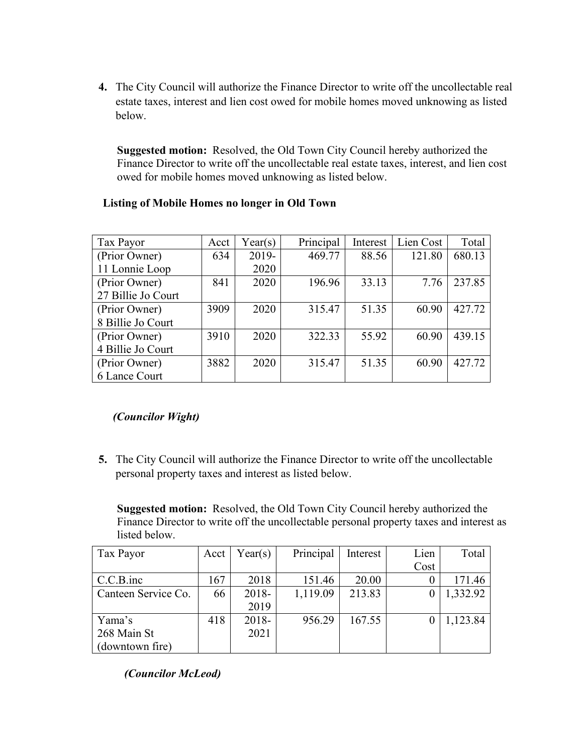**4.** The City Council will authorize the Finance Director to write off the uncollectable real estate taxes, interest and lien cost owed for mobile homes moved unknowing as listed below.

 **Suggested motion:** Resolved, the Old Town City Council hereby authorized the Finance Director to write off the uncollectable real estate taxes, interest, and lien cost owed for mobile homes moved unknowing as listed below.

| Tax Payor          | Acct | Year(s) | Principal | Interest | Lien Cost | Total  |
|--------------------|------|---------|-----------|----------|-----------|--------|
| (Prior Owner)      | 634  | 2019-   | 469.77    | 88.56    | 121.80    | 680.13 |
| 11 Lonnie Loop     |      | 2020    |           |          |           |        |
| (Prior Owner)      | 841  | 2020    | 196.96    | 33.13    | 7.76      | 237.85 |
| 27 Billie Jo Court |      |         |           |          |           |        |
| (Prior Owner)      | 3909 | 2020    | 315.47    | 51.35    | 60.90     | 427.72 |
| 8 Billie Jo Court  |      |         |           |          |           |        |
| (Prior Owner)      | 3910 | 2020    | 322.33    | 55.92    | 60.90     | 439.15 |
| 4 Billie Jo Court  |      |         |           |          |           |        |
| (Prior Owner)      | 3882 | 2020    | 315.47    | 51.35    | 60.90     | 427.72 |
| 6 Lance Court      |      |         |           |          |           |        |

# **Listing of Mobile Homes no longer in Old Town**

# *(Councilor Wight)*

**5.** The City Council will authorize the Finance Director to write off the uncollectable personal property taxes and interest as listed below.

 **Suggested motion:** Resolved, the Old Town City Council hereby authorized the Finance Director to write off the uncollectable personal property taxes and interest as listed below.

| Tax Payor           | Acct | Year(s) | Principal | Interest | Lien | Total    |
|---------------------|------|---------|-----------|----------|------|----------|
|                     |      |         |           |          | Cost |          |
| $C.C.B.$ inc        | 167  | 2018    | 151.46    | 20.00    |      | 171.46   |
| Canteen Service Co. | 66   | 2018-   | 1,119.09  | 213.83   |      | 1,332.92 |
|                     |      | 2019    |           |          |      |          |
| Yama's              | 418  | 2018-   | 956.29    | 167.55   |      | 1,123.84 |
| 268 Main St         |      | 2021    |           |          |      |          |
| (downtown fire)     |      |         |           |          |      |          |

*(Councilor McLeod)*